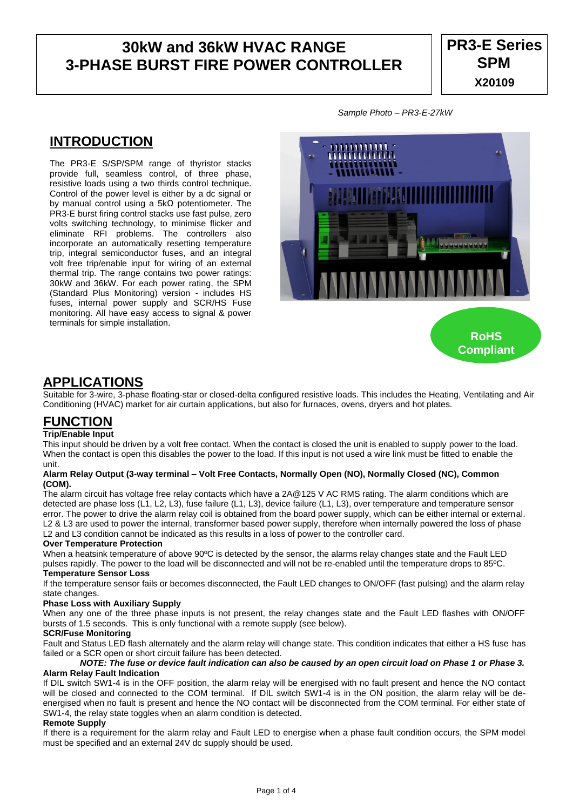# **30kW and 36kW HVAC RANGE 3-PHASE BURST FIRE POWER CONTROLLER**

## **INTRODUCTION**

The PR3-E S/SP/SPM range of thyristor stacks provide full, seamless control, of three phase, resistive loads using a two thirds control technique. Control of the power level is either by a dc signal or by manual control using a 5kΩ potentiometer. The PR3-E burst firing control stacks use fast pulse, zero volts switching technology, to minimise flicker and eliminate RFI problems. The controllers also incorporate an automatically resetting temperature trip, integral semiconductor fuses, and an integral volt free trip/enable input for wiring of an external thermal trip. The range contains two power ratings: 30kW and 36kW. For each power rating, the SPM (Standard Plus Monitoring) version - includes HS fuses, internal power supply and SCR/HS Fuse monitoring. All have easy access to signal & power terminals for simple installation.

*Sample Photo – PR3-E-27kW*



### **APPLICATIONS**

Suitable for 3-wire, 3-phase floating-star or closed-delta configured resistive loads. This includes the Heating, Ventilating and Air Conditioning (HVAC) market for air curtain applications, but also for furnaces, ovens, dryers and hot plates.

# **FUNCTION**

#### **Trip/Enable Input**

This input should be driven by a volt free contact. When the contact is closed the unit is enabled to supply power to the load. When the contact is open this disables the power to the load. If this input is not used a wire link must be fitted to enable the unit.

#### **Alarm Relay Output (3-way terminal – Volt Free Contacts, Normally Open (NO), Normally Closed (NC), Common (COM).**

The alarm circuit has voltage free relay contacts which have a 2A@125 V AC RMS rating. The alarm conditions which are detected are phase loss (L1, L2, L3), fuse failure (L1, L3), device failure (L1, L3), over temperature and temperature sensor error. The power to drive the alarm relay coil is obtained from the board power supply, which can be either internal or external. L2 & L3 are used to power the internal, transformer based power supply, therefore when internally powered the loss of phase L2 and L3 condition cannot be indicated as this results in a loss of power to the controller card.

#### **Over Temperature Protection**

When a heatsink temperature of above 90°C is detected by the sensor, the alarms relay changes state and the Fault LED pulses rapidly. The power to the load will be disconnected and will not be re-enabled until the temperature drops to 85ºC. **Temperature Sensor Loss**

If the temperature sensor fails or becomes disconnected, the Fault LED changes to ON/OFF (fast pulsing) and the alarm relay state changes.

#### **Phase Loss with Auxiliary Supply**

When any one of the three phase inputs is not present, the relay changes state and the Fault LED flashes with ON/OFF bursts of 1.5 seconds. This is only functional with a remote supply (see below).

#### **SCR/Fuse Monitoring**

Fault and Status LED flash alternately and the alarm relay will change state. This condition indicates that either a HS fuse has failed or a SCR open or short circuit failure has been detected.

#### *NOTE: The fuse or device fault indication can also be caused by an open circuit load on Phase 1 or Phase 3.* **Alarm Relay Fault Indication**

If DIL switch SW1-4 is in the OFF position, the alarm relay will be energised with no fault present and hence the NO contact will be closed and connected to the COM terminal. If DIL switch SW1-4 is in the ON position, the alarm relay will be deenergised when no fault is present and hence the NO contact will be disconnected from the COM terminal. For either state of SW1-4, the relay state toggles when an alarm condition is detected.

#### **Remote Supply**

If there is a requirement for the alarm relay and Fault LED to energise when a phase fault condition occurs, the SPM model must be specified and an external 24V dc supply should be used.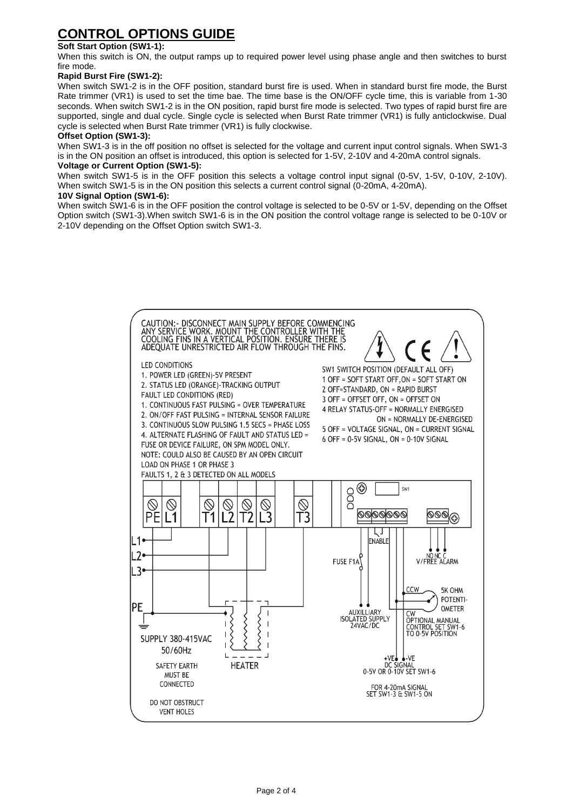# **CONTROL OPTIONS GUIDE**

### **Soft Start Option (SW1-1):**

When this switch is ON, the output ramps up to required power level using phase angle and then switches to burst fire mode.

#### **Rapid Burst Fire (SW1-2):**

When switch SW1-2 is in the OFF position, standard burst fire is used. When in standard burst fire mode, the Burst Rate trimmer (VR1) is used to set the time bae. The time base is the ON/OFF cycle time, this is variable from 1-30 seconds. When switch SW1-2 is in the ON position, rapid burst fire mode is selected. Two types of rapid burst fire are supported, single and dual cycle. Single cycle is selected when Burst Rate trimmer (VR1) is fully anticlockwise. Dual cycle is selected when Burst Rate trimmer (VR1) is fully clockwise.

#### **Offset Option (SW1-3):**

When SW1-3 is in the off position no offset is selected for the voltage and current input control signals. When SW1-3 is in the ON position an offset is introduced, this option is selected for 1-5V, 2-10V and 4-20mA control signals.

### **Voltage or Current Option (SW1-5):**

When switch SW1-5 is in the OFF position this selects a voltage control input signal (0-5V, 1-5V, 0-10V, 2-10V). When switch SW1-5 is in the ON position this selects a current control signal (0-20mA, 4-20mA).

#### **10V Signal Option (SW1-6):**

When switch SW1-6 is in the OFF position the control voltage is selected to be 0-5V or 1-5V, depending on the Offset Option switch (SW1-3).When switch SW1-6 is in the ON position the control voltage range is selected to be 0-10V or 2-10V depending on the Offset Option switch SW1-3.

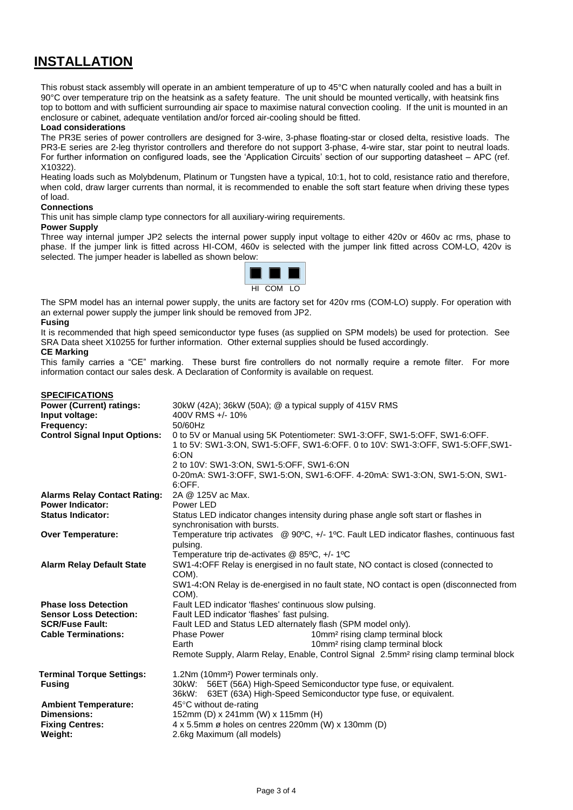## **INSTALLATION**

This robust stack assembly will operate in an ambient temperature of up to 45°C when naturally cooled and has a built in 90°C over temperature trip on the heatsink as a safety feature. The unit should be mounted vertically, with heatsink fins top to bottom and with sufficient surrounding air space to maximise natural convection cooling. If the unit is mounted in an enclosure or cabinet, adequate ventilation and/or forced air-cooling should be fitted.

#### **Load considerations**

The PR3E series of power controllers are designed for 3-wire, 3-phase floating-star or closed delta, resistive loads. The PR3-E series are 2-leg thyristor controllers and therefore do not support 3-phase, 4-wire star, star point to neutral loads. For further information on configured loads, see the 'Application Circuits' section of our supporting datasheet – APC (ref. X10322).

Heating loads such as Molybdenum, Platinum or Tungsten have a typical, 10:1, hot to cold, resistance ratio and therefore, when cold, draw larger currents than normal, it is recommended to enable the soft start feature when driving these types of load.

#### **Connections**

This unit has simple clamp type connectors for all auxiliary-wiring requirements.

#### **Power Supply**

Three way internal jumper JP2 selects the internal power supply input voltage to either 420v or 460v ac rms, phase to phase. If the jumper link is fitted across HI-COM, 460v is selected with the jumper link fitted across COM-LO, 420v is selected. The jumper header is labelled as shown below:



The SPM model has an internal power supply, the units are factory set for 420v rms (COM-LO) supply. For operation with an external power supply the jumper link should be removed from JP2. **Fusing**

#### It is recommended that high speed semiconductor type fuses (as supplied on SPM models) be used for protection. See SRA Data sheet X10255 for further information. Other external supplies should be fused accordingly.

#### **CE Marking**

This family carries a "CE" marking. These burst fire controllers do not normally require a remote filter. For more information contact our sales desk. A Declaration of Conformity is available on request.

| <b>SPECIFICATIONS</b><br><b>Power (Current) ratings:</b><br>Input voltage:<br>Frequency:<br><b>Control Signal Input Options:</b> | 30kW (42A); 36kW (50A); @ a typical supply of 415V RMS<br>400V RMS +/-10%<br>50/60Hz<br>0 to 5V or Manual using 5K Potentiometer: SW1-3:OFF, SW1-5:OFF, SW1-6:OFF.<br>1 to 5V: SW1-3:ON, SW1-5:OFF, SW1-6:OFF. 0 to 10V: SW1-3:OFF, SW1-5:OFF, SW1-<br>6:ON<br>2 to 10V: SW1-3:ON, SW1-5:OFF, SW1-6:ON<br>0-20mA: SW1-3:OFF, SW1-5:ON, SW1-6:OFF. 4-20mA: SW1-3:ON, SW1-5:ON, SW1-<br>6:OFF. |
|----------------------------------------------------------------------------------------------------------------------------------|----------------------------------------------------------------------------------------------------------------------------------------------------------------------------------------------------------------------------------------------------------------------------------------------------------------------------------------------------------------------------------------------|
| <b>Alarms Relay Contact Rating:</b>                                                                                              | 2A @ 125V ac Max.                                                                                                                                                                                                                                                                                                                                                                            |
| <b>Power Indicator:</b>                                                                                                          | Power LED                                                                                                                                                                                                                                                                                                                                                                                    |
| <b>Status Indicator:</b>                                                                                                         | Status LED indicator changes intensity during phase angle soft start or flashes in<br>synchronisation with bursts.                                                                                                                                                                                                                                                                           |
| <b>Over Temperature:</b>                                                                                                         | Temperature trip activates @ 90°C, +/- 1°C. Fault LED indicator flashes, continuous fast<br>pulsing.<br>Temperature trip de-activates $@$ 85°C, +/- 1°C                                                                                                                                                                                                                                      |
| <b>Alarm Relay Default State</b>                                                                                                 | SW1-4:OFF Relay is energised in no fault state, NO contact is closed (connected to<br>COM).<br>SW1-4:ON Relay is de-energised in no fault state, NO contact is open (disconnected from<br>COM).                                                                                                                                                                                              |
| <b>Phase loss Detection</b>                                                                                                      | Fault LED indicator 'flashes' continuous slow pulsing.                                                                                                                                                                                                                                                                                                                                       |
| <b>Sensor Loss Detection:</b>                                                                                                    | Fault LED indicator 'flashes' fast pulsing.                                                                                                                                                                                                                                                                                                                                                  |
| <b>SCR/Fuse Fault:</b>                                                                                                           | Fault LED and Status LED alternately flash (SPM model only).                                                                                                                                                                                                                                                                                                                                 |
| <b>Cable Terminations:</b>                                                                                                       | <b>Phase Power</b><br>10mm <sup>2</sup> rising clamp terminal block                                                                                                                                                                                                                                                                                                                          |
|                                                                                                                                  | 10mm <sup>2</sup> rising clamp terminal block<br>Earth<br>Remote Supply, Alarm Relay, Enable, Control Signal 2.5mm <sup>2</sup> rising clamp terminal block                                                                                                                                                                                                                                  |
| <b>Terminal Torque Settings:</b><br><b>Fusing</b>                                                                                | 1.2Nm (10mm <sup>2</sup> ) Power terminals only.<br>30kW: 56ET (56A) High-Speed Semiconductor type fuse, or equivalent.<br>36kW: 63ET (63A) High-Speed Semiconductor type fuse, or equivalent.                                                                                                                                                                                               |
| <b>Ambient Temperature:</b>                                                                                                      | 45°C without de-rating                                                                                                                                                                                                                                                                                                                                                                       |
| <b>Dimensions:</b>                                                                                                               | 152mm (D) x 241mm (W) x 115mm (H)                                                                                                                                                                                                                                                                                                                                                            |
| <b>Fixing Centres:</b>                                                                                                           | 4 x 5.5mm ø holes on centres 220mm (W) x 130mm (D)                                                                                                                                                                                                                                                                                                                                           |
| <b>Weight:</b>                                                                                                                   | 2.6kg Maximum (all models)                                                                                                                                                                                                                                                                                                                                                                   |
|                                                                                                                                  |                                                                                                                                                                                                                                                                                                                                                                                              |